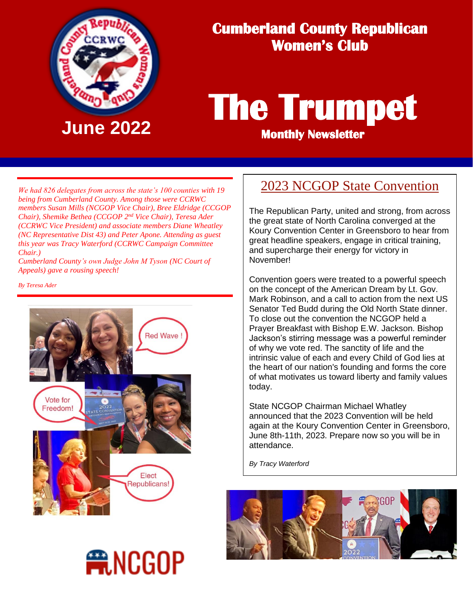

## **Cumberland County Republican Women's Club**

# **The Trumpet June 2022 Monthly Newsletter**

*We had 826 delegates from across the state's 100 counties with 19 being from Cumberland County. Among those were CCRWC members Susan Mills (NCGOP Vice Chair), Bree Eldridge (CCGOP Chair*), *Shemike Bethea* (*CCGOP* 2<sup>nd</sup> Vice Chair), *Teresa Ader (CCRWC Vice President) and associate members Diane Wheatley (NC Representative Dist 43) and Peter Apone. Attending as guest this year was Tracy Waterford (CCRWC Campaign Committee Chair.)*

*Cumberland County's own Judge John M Tyson (NC Court of Appeals) gave a rousing speech!*

*By Teresa Ader*



**ANCGOP** 

### 2023 NCGOP State Convention

The Republican Party, united and strong, from across the great state of North Carolina converged at the Koury Convention Center in Greensboro to hear from great headline speakers, engage in critical training, and supercharge their energy for victory in November!

Convention goers were treated to a powerful speech on the concept of the American Dream by Lt. Gov. Mark Robinson, and a call to action from the next US Senator Ted Budd during the Old North State dinner. To close out the convention the NCGOP held a Prayer Breakfast with Bishop E.W. Jackson. Bishop Jackson's stirring message was a powerful reminder of why we vote red. The sanctity of life and the intrinsic value of each and every Child of God lies at the heart of our nation's founding and forms the core of what motivates us toward liberty and family values today.

State NCGOP Chairman Michael Whatley announced that the 2023 Convention will be held again at the Koury Convention Center in Greensboro, June 8th-11th, 2023. Prepare now so you will be in attendance.

*By Tracy Waterford*

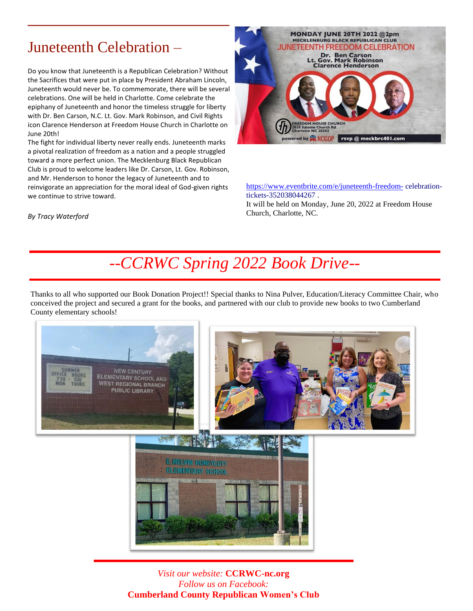# Juneteenth Celebration –

Do you know that Juneteenth is a Republican Celebration? Without the Sacrifices that were put in place by President Abraham Lincoln, Juneteenth would never be. To commemorate, there will be several celebrations. One will be held in Charlotte. Come celebrate the epiphany of Juneteenth and honor the timeless struggle for liberty with Dr. Ben Carson, N.C. Lt. Gov. Mark Robinson, and Civil Rights icon Clarence Henderson at Freedom House Church in Charlotte on June 20th!

**\_\_\_\_\_\_\_\_\_\_\_\_\_\_\_\_\_\_\_\_\_\_\_\_\_\_\_\_\_**

The fight for individual liberty never really ends. Juneteenth marks a pivotal realization of freedom as a nation and a people struggled toward a more perfect union. The Mecklenburg Black Republican Club is proud to welcome leaders like Dr. Carson, Lt. Gov. Robinson, and Mr. Henderson to honor the legacy of Juneteenth and to reinvigorate an appreciation for the moral ideal of God-given rights we continue to strive toward.



<https://www.eventbrite.com/e/juneteenth-freedom-> celebrationtickets-352038044267 .

It will be held on Monday, June 20, 2022 at Freedom House Church, Charlotte, NC.

*By Tracy Waterford*

# *--CCRWC Spring 2022 Book Drive--*

Thanks to all who supported our Book Donation Project!! Special thanks to Nina Pulver, Education/Literacy Committee Chair, who conceived the project and secured a grant for the books, and partnered with our club to provide new books to two Cumberland County elementary schools!



*Visit our website:* **CCRWC-nc.org** *Follow us on Facebook:*  **Cumberland County Republican Women's Club**